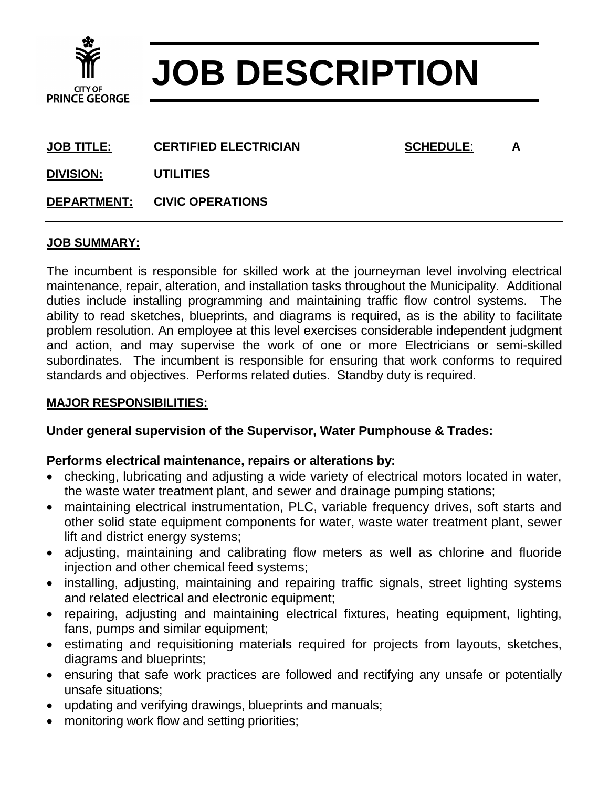

# **JOB DESCRIPTION**

**JOB TITLE: CERTIFIED ELECTRICIAN SCHEDULE**: **A**

**DIVISION: UTILITIES**

**DEPARTMENT: CIVIC OPERATIONS**

## **JOB SUMMARY:**

The incumbent is responsible for skilled work at the journeyman level involving electrical maintenance, repair, alteration, and installation tasks throughout the Municipality. Additional duties include installing programming and maintaining traffic flow control systems. The ability to read sketches, blueprints, and diagrams is required, as is the ability to facilitate problem resolution. An employee at this level exercises considerable independent judgment and action, and may supervise the work of one or more Electricians or semi-skilled subordinates. The incumbent is responsible for ensuring that work conforms to required standards and objectives. Performs related duties. Standby duty is required.

## **MAJOR RESPONSIBILITIES:**

# **Under general supervision of the Supervisor, Water Pumphouse & Trades:**

# **Performs electrical maintenance, repairs or alterations by:**

- checking, lubricating and adjusting a wide variety of electrical motors located in water, the waste water treatment plant, and sewer and drainage pumping stations;
- maintaining electrical instrumentation, PLC, variable frequency drives, soft starts and other solid state equipment components for water, waste water treatment plant, sewer lift and district energy systems;
- adjusting, maintaining and calibrating flow meters as well as chlorine and fluoride injection and other chemical feed systems;
- installing, adjusting, maintaining and repairing traffic signals, street lighting systems and related electrical and electronic equipment;
- repairing, adjusting and maintaining electrical fixtures, heating equipment, lighting, fans, pumps and similar equipment;
- estimating and requisitioning materials required for projects from layouts, sketches, diagrams and blueprints;
- ensuring that safe work practices are followed and rectifying any unsafe or potentially unsafe situations;
- updating and verifying drawings, blueprints and manuals;
- monitoring work flow and setting priorities;